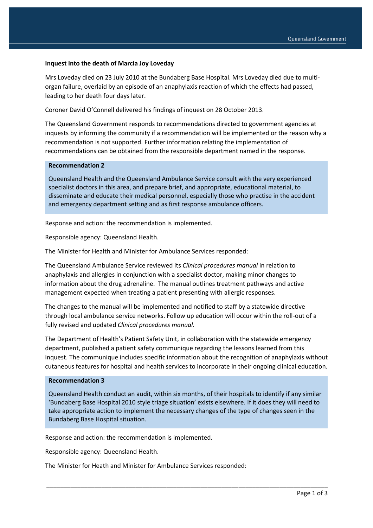### **Inquest into the death of Marcia Joy Loveday**

Mrs Loveday died on 23 July 2010 at the Bundaberg Base Hospital. Mrs Loveday died due to multiorgan failure, overlaid by an episode of an anaphylaxis reaction of which the effects had passed, leading to her death four days later.

Coroner David O'Connell delivered his findings of inquest on 28 October 2013.

The Queensland Government responds to recommendations directed to government agencies at inquests by informing the community if a recommendation will be implemented or the reason why a recommendation is not supported. Further information relating the implementation of recommendations can be obtained from the responsible department named in the response.

#### **Recommendation 2**

Queensland Health and the Queensland Ambulance Service consult with the very experienced specialist doctors in this area, and prepare brief, and appropriate, educational material, to disseminate and educate their medical personnel, especially those who practise in the accident and emergency department setting and as first response ambulance officers.

Response and action: the recommendation is implemented.

Responsible agency: Queensland Health.

The Minister for Health and Minister for Ambulance Services responded:

The Queensland Ambulance Service reviewed its *Clinical procedures manual* in relation to anaphylaxis and allergies in conjunction with a specialist doctor, making minor changes to information about the drug adrenaline. The manual outlines treatment pathways and active management expected when treating a patient presenting with allergic responses.

The changes to the manual will be implemented and notified to staff by a statewide directive through local ambulance service networks. Follow up education will occur within the roll-out of a fully revised and updated *Clinical procedures manual*.

The Department of Health's Patient Safety Unit, in collaboration with the statewide emergency department, published a patient safety communique regarding the lessons learned from this inquest. The communique includes specific information about the recognition of anaphylaxis without cutaneous features for hospital and health services to incorporate in their ongoing clinical education.

### **Recommendation 3**

Queensland Health conduct an audit, within six months, of their hospitals to identify if any similar 'Bundaberg Base Hospital 2010 style triage situation' exists elsewhere. If it does they will need to take appropriate action to implement the necessary changes of the type of changes seen in the Bundaberg Base Hospital situation.

\_\_\_\_\_\_\_\_\_\_\_\_\_\_\_\_\_\_\_\_\_\_\_\_\_\_\_\_\_\_\_\_\_\_\_\_\_\_\_\_\_\_\_\_\_\_\_\_\_\_\_\_\_\_\_\_\_\_\_\_\_\_\_\_\_\_\_\_\_\_\_\_\_\_\_\_\_\_\_\_\_\_

Response and action: the recommendation is implemented.

Responsible agency: Queensland Health.

The Minister for Heath and Minister for Ambulance Services responded: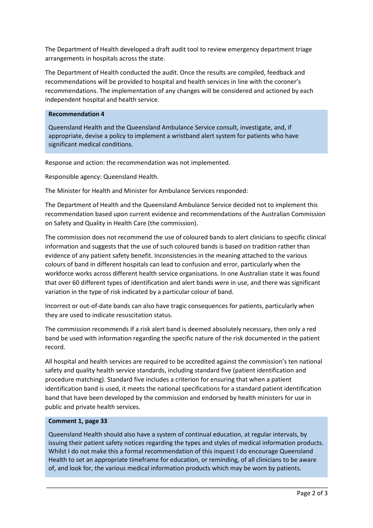The Department of Health developed a draft audit tool to review emergency department triage arrangements in hospitals across the state.

The Department of Health conducted the audit. Once the results are compiled, feedback and recommendations will be provided to hospital and health services in line with the coroner's recommendations. The implementation of any changes will be considered and actioned by each independent hospital and health service.

# **Recommendation 4**

Queensland Health and the Queensland Ambulance Service consult, investigate, and, if appropriate, devise a policy to implement a wristband alert system for patients who have significant medical conditions.

Response and action: the recommendation was not implemented.

Responsible agency: Queensland Health.

The Minister for Health and Minister for Ambulance Services responded:

The Department of Health and the Queensland Ambulance Service decided not to implement this recommendation based upon current evidence and recommendations of the Australian Commission on Safety and Quality in Health Care (the commission).

The commission does not recommend the use of coloured bands to alert clinicians to specific clinical information and suggests that the use of such coloured bands is based on tradition rather than evidence of any patient safety benefit. Inconsistencies in the meaning attached to the various colours of band in different hospitals can lead to confusion and error, particularly when the workforce works across different health service organisations. In one Australian state it was found that over 60 different types of identification and alert bands were in use, and there was significant variation in the type of risk indicated by a particular colour of band.

Incorrect or out-of-date bands can also have tragic consequences for patients, particularly when they are used to indicate resuscitation status.

The commission recommends if a risk alert band is deemed absolutely necessary, then only a red band be used with information regarding the specific nature of the risk documented in the patient record.

All hospital and health services are required to be accredited against the commission's ten national safety and quality health service standards, including standard five (patient identification and procedure matching). Standard five includes a criterion for ensuring that when a patient identification band is used, it meets the national specifications for a standard patient identification band that have been developed by the commission and endorsed by health ministers for use in public and private health services.

# **Comment 1, page 33**

Queensland Health should also have a system of continual education, at regular intervals, by issuing their patient safety notices regarding the types and styles of medical information products. Whilst I do not make this a formal recommendation of this inquest I do encourage Queensland Health to set an appropriate timeframe for education, or reminding, of all clinicians to be aware of, and look for, the various medical information products which may be worn by patients.

\_\_\_\_\_\_\_\_\_\_\_\_\_\_\_\_\_\_\_\_\_\_\_\_\_\_\_\_\_\_\_\_\_\_\_\_\_\_\_\_\_\_\_\_\_\_\_\_\_\_\_\_\_\_\_\_\_\_\_\_\_\_\_\_\_\_\_\_\_\_\_\_\_\_\_\_\_\_\_\_\_\_